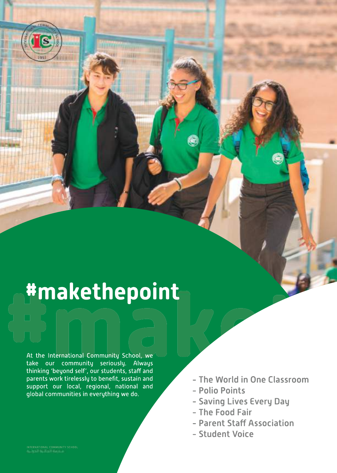# **#makethepoint**<br>
At the International Community School, we<br>
at the International Community School, we<br>
take our community seriously. Always<br>
thinking 'beyond self', our students, staff and

At the International Community School, we take our community seriously. Always thinking 'beyond self', our students, staffand parents work tirelessly to benefit, sustain and support our local, regional, national and global communities in everything we do.

- The World in One Classroom
- Polio Points
- Saving Lives Every Day
- The Food Fair
- Parent Staff Association
- Student Voice

i's